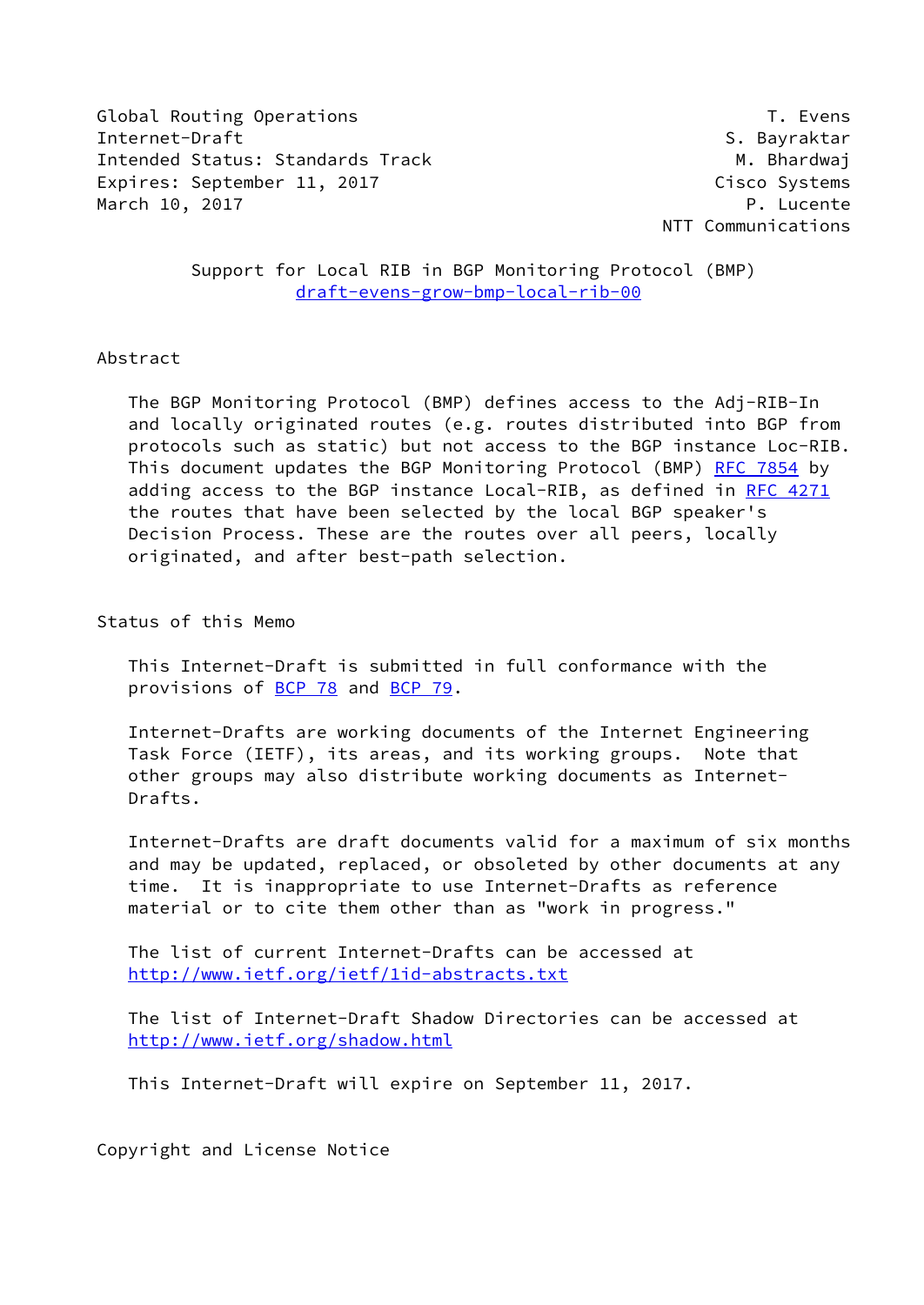Global Routing Operations T. Evens Internet-Draft S. Bayraktar Intended Status: Standards Track M. Bhardwaj Expires: September 11, 2017 Cisco Systems March 10, 2017 **P. Lucente** 

NTT Communications

 Support for Local RIB in BGP Monitoring Protocol (BMP) [draft-evens-grow-bmp-local-rib-00](https://datatracker.ietf.org/doc/pdf/draft-evens-grow-bmp-local-rib-00)

## Abstract

 The BGP Monitoring Protocol (BMP) defines access to the Adj-RIB-In and locally originated routes (e.g. routes distributed into BGP from protocols such as static) but not access to the BGP instance Loc-RIB. This document updates the BGP Monitoring Protocol (BMP) [RFC 7854](https://datatracker.ietf.org/doc/pdf/rfc7854) by adding access to the BGP instance Local-RIB, as defined in [RFC 4271](https://datatracker.ietf.org/doc/pdf/rfc4271) the routes that have been selected by the local BGP speaker's Decision Process. These are the routes over all peers, locally originated, and after best-path selection.

Status of this Memo

 This Internet-Draft is submitted in full conformance with the provisions of [BCP 78](https://datatracker.ietf.org/doc/pdf/bcp78) and [BCP 79](https://datatracker.ietf.org/doc/pdf/bcp79).

 Internet-Drafts are working documents of the Internet Engineering Task Force (IETF), its areas, and its working groups. Note that other groups may also distribute working documents as Internet- Drafts.

 Internet-Drafts are draft documents valid for a maximum of six months and may be updated, replaced, or obsoleted by other documents at any time. It is inappropriate to use Internet-Drafts as reference material or to cite them other than as "work in progress."

 The list of current Internet-Drafts can be accessed at <http://www.ietf.org/ietf/1id-abstracts.txt>

 The list of Internet-Draft Shadow Directories can be accessed at <http://www.ietf.org/shadow.html>

This Internet-Draft will expire on September 11, 2017.

Copyright and License Notice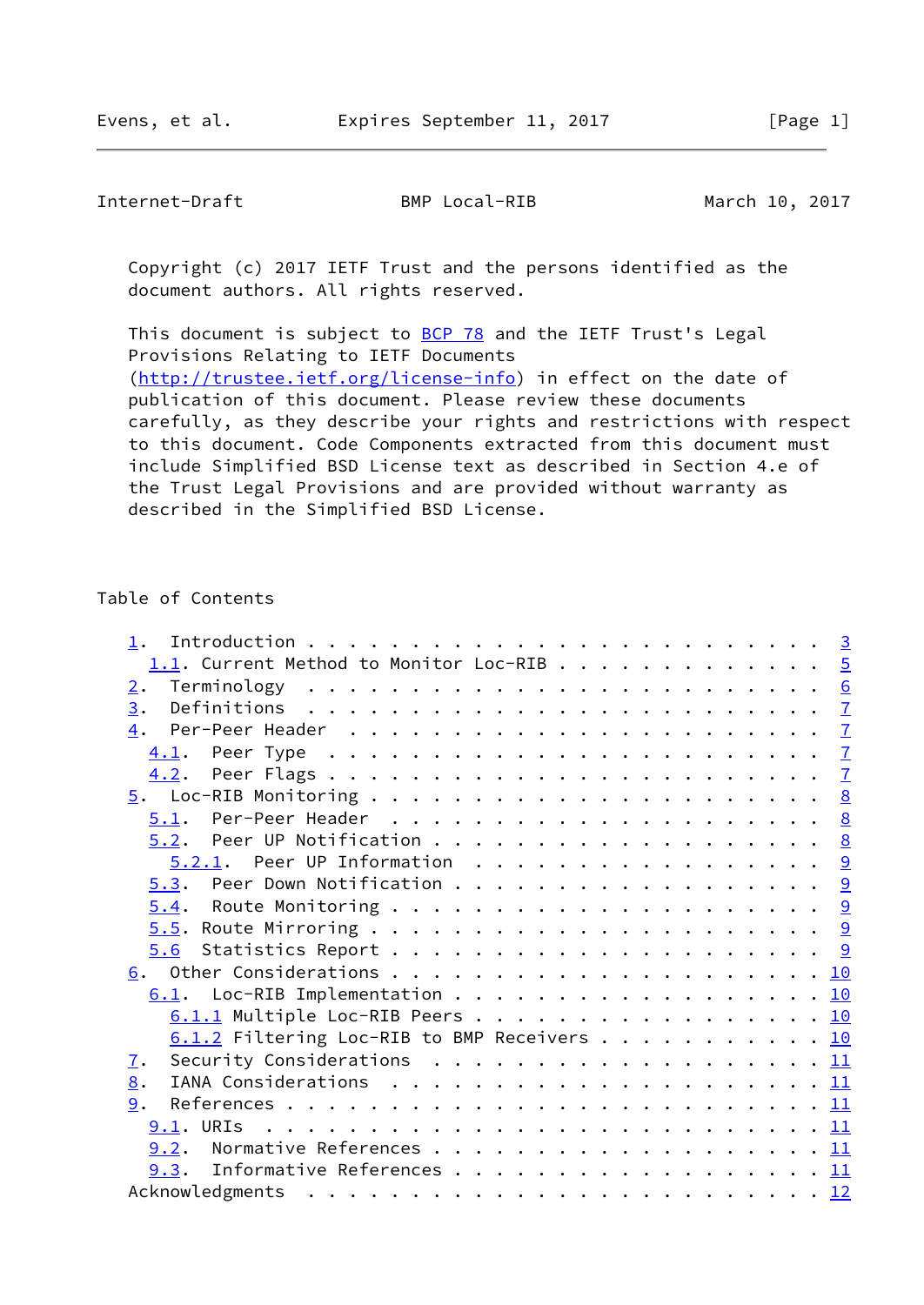Copyright (c) 2017 IETF Trust and the persons identified as the document authors. All rights reserved.

This document is subject to **[BCP 78](https://datatracker.ietf.org/doc/pdf/bcp78)** and the IETF Trust's Legal Provisions Relating to IETF Documents [\(http://trustee.ietf.org/license-info](http://trustee.ietf.org/license-info)) in effect on the date of publication of this document. Please review these documents carefully, as they describe your rights and restrictions with respect to this document. Code Components extracted from this document must include Simplified BSD License text as described in Section 4.e of the Trust Legal Provisions and are provided without warranty as described in the Simplified BSD License.

## Table of Contents

| $\overline{2}$ . |  |                                                                                                                                                                                                                                                                                                                                                 |
|------------------|--|-------------------------------------------------------------------------------------------------------------------------------------------------------------------------------------------------------------------------------------------------------------------------------------------------------------------------------------------------|
| 3.               |  | $\overline{1}$                                                                                                                                                                                                                                                                                                                                  |
|                  |  |                                                                                                                                                                                                                                                                                                                                                 |
|                  |  | $\overline{1}$                                                                                                                                                                                                                                                                                                                                  |
|                  |  |                                                                                                                                                                                                                                                                                                                                                 |
|                  |  |                                                                                                                                                                                                                                                                                                                                                 |
|                  |  |                                                                                                                                                                                                                                                                                                                                                 |
|                  |  |                                                                                                                                                                                                                                                                                                                                                 |
|                  |  |                                                                                                                                                                                                                                                                                                                                                 |
|                  |  |                                                                                                                                                                                                                                                                                                                                                 |
|                  |  |                                                                                                                                                                                                                                                                                                                                                 |
|                  |  |                                                                                                                                                                                                                                                                                                                                                 |
|                  |  |                                                                                                                                                                                                                                                                                                                                                 |
|                  |  |                                                                                                                                                                                                                                                                                                                                                 |
|                  |  |                                                                                                                                                                                                                                                                                                                                                 |
|                  |  |                                                                                                                                                                                                                                                                                                                                                 |
|                  |  |                                                                                                                                                                                                                                                                                                                                                 |
| <u>z</u> .       |  |                                                                                                                                                                                                                                                                                                                                                 |
| 8.               |  |                                                                                                                                                                                                                                                                                                                                                 |
| 9.               |  |                                                                                                                                                                                                                                                                                                                                                 |
|                  |  |                                                                                                                                                                                                                                                                                                                                                 |
|                  |  |                                                                                                                                                                                                                                                                                                                                                 |
|                  |  |                                                                                                                                                                                                                                                                                                                                                 |
|                  |  |                                                                                                                                                                                                                                                                                                                                                 |
|                  |  | $1.1$ . Current Method to Monitor Loc-RIB 5<br>$5.2.1$ . Peer UP Information 9<br>6.1. Loc-RIB Implementation 10<br>6.1.1 Multiple Loc-RIB Peers 10<br>$\underline{6.1.2}$ Filtering Loc-RIB to BMP Receivers 10<br>Security Considerations $\ldots \ldots \ldots \ldots \ldots \ldots \ldots \underline{11}$<br>9.3. Informative References 11 |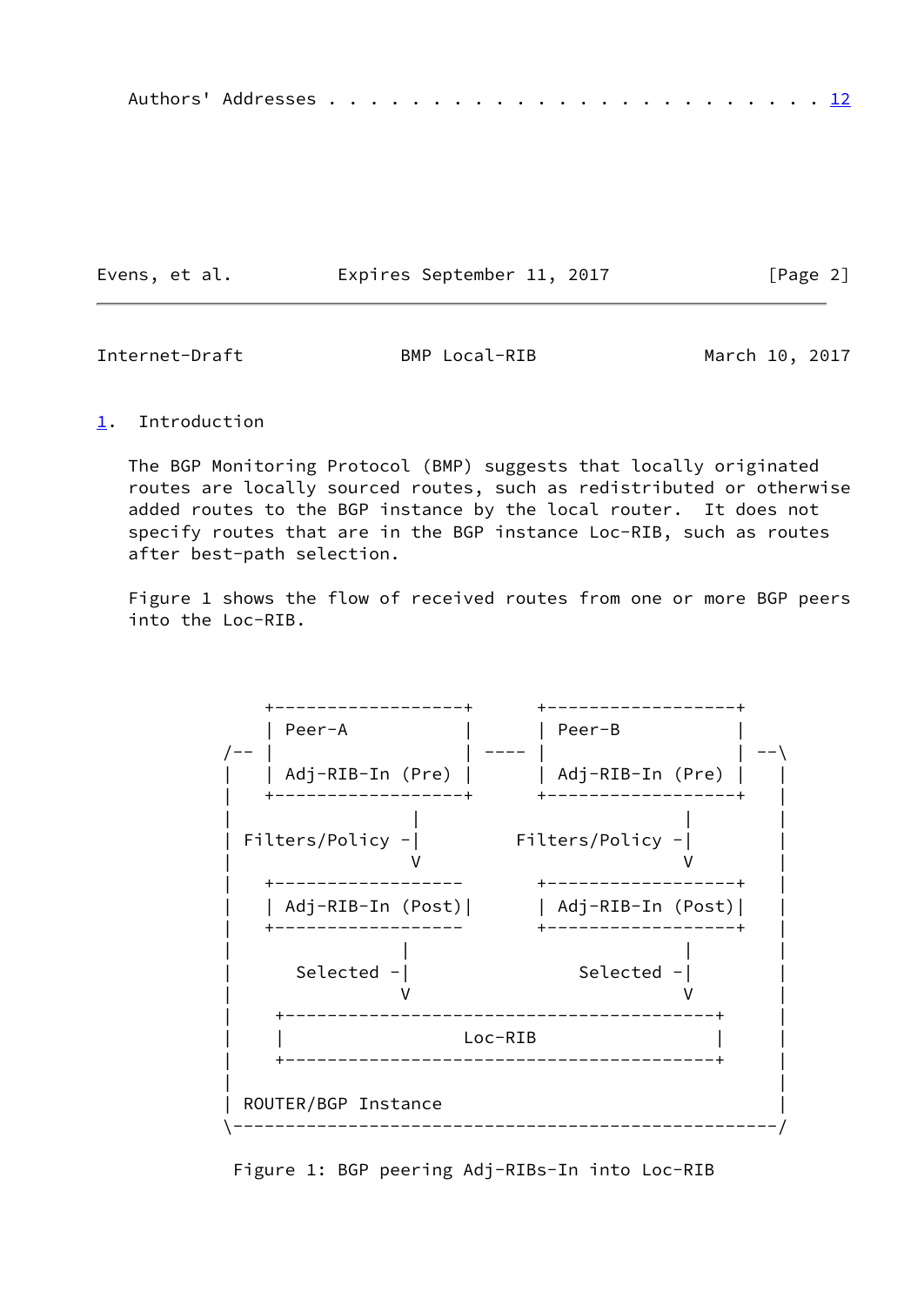|--|--|--|--|--|--|--|--|--|--|--|--|--|--|--|--|--|--|--|--|--|--|--|--|--|--|--|

Evens, et al. Expires September 11, 2017 [Page 2]

<span id="page-2-1"></span>Internet-Draft BMP Local-RIB March 10, 2017

<span id="page-2-0"></span>[1](#page-2-0). Introduction

 The BGP Monitoring Protocol (BMP) suggests that locally originated routes are locally sourced routes, such as redistributed or otherwise added routes to the BGP instance by the local router. It does not specify routes that are in the BGP instance Loc-RIB, such as routes after best-path selection.

 Figure 1 shows the flow of received routes from one or more BGP peers into the Loc-RIB.



Figure 1: BGP peering Adj-RIBs-In into Loc-RIB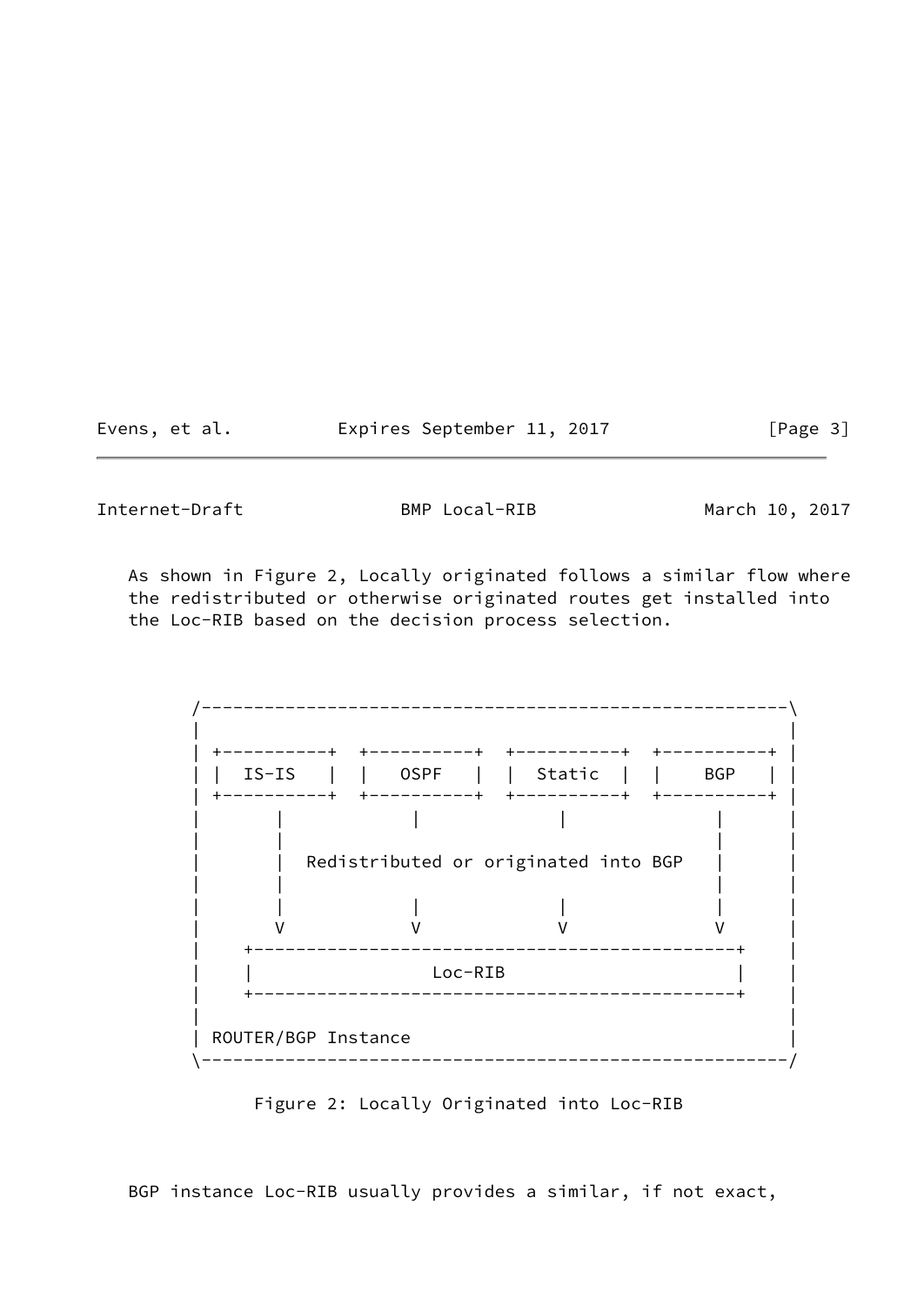Evens, et al. Expires September 11, 2017 [Page 3]

Internet-Draft BMP Local-RIB March 10, 2017

 As shown in Figure 2, Locally originated follows a similar flow where the redistributed or otherwise originated routes get installed into the Loc-RIB based on the decision process selection.

 /--------------------------------------------------------\ | | | +----------+ +----------+ +----------+ +----------+ | | | IS-IS | | OSPF | | Static | | BGP | | | +----------+ +----------+ +----------+ +----------+ | | | | | | | | | | | | Redistributed or originated into BGP | | | | | | | | | | | | V V V V | | +----------------------------------------------+ | | | Loc-RIB | | | +----------------------------------------------+ | | | | ROUTER/BGP Instance | \--------------------------------------------------------/

Figure 2: Locally Originated into Loc-RIB

BGP instance Loc-RIB usually provides a similar, if not exact,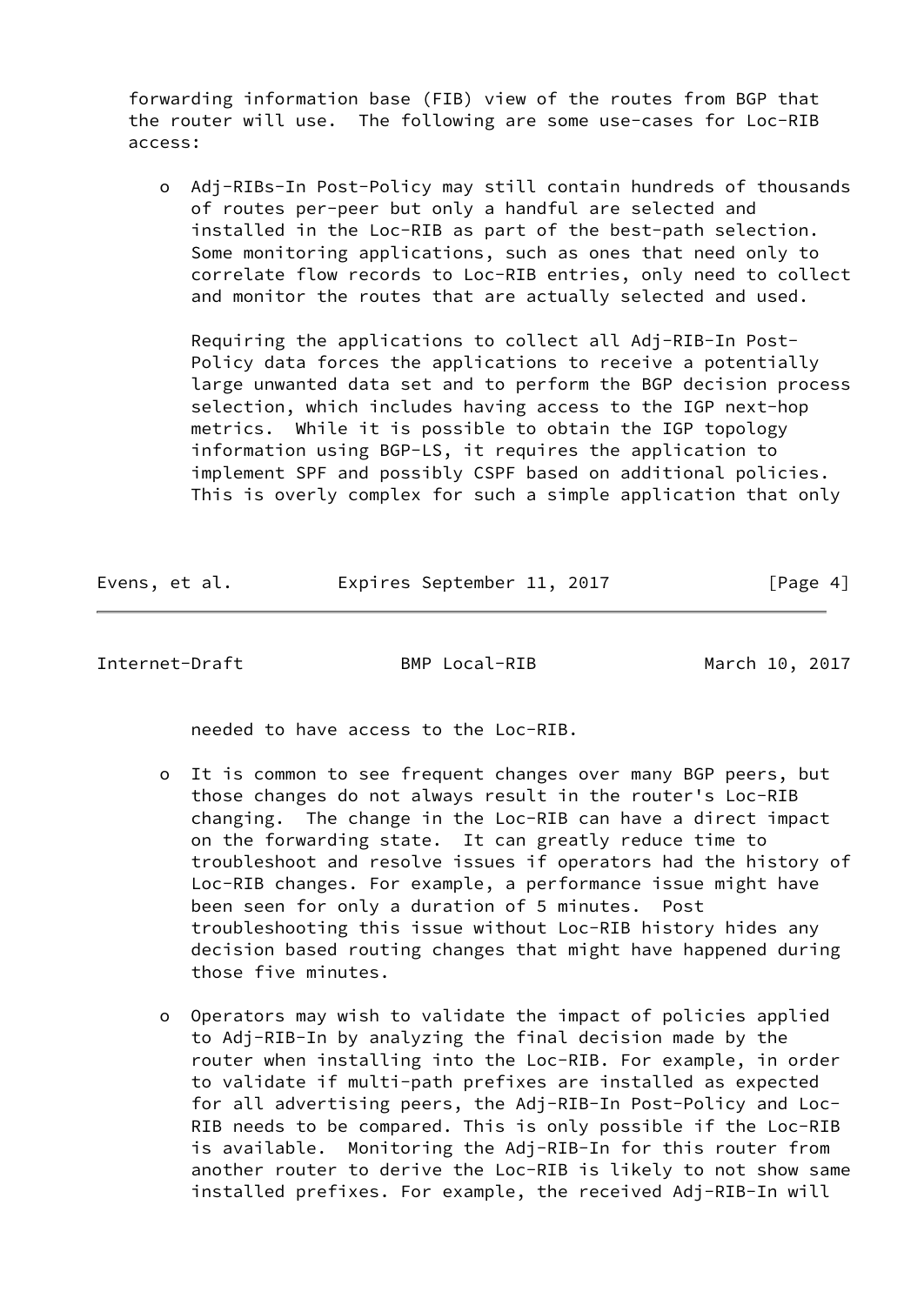forwarding information base (FIB) view of the routes from BGP that the router will use. The following are some use-cases for Loc-RIB access:

 o Adj-RIBs-In Post-Policy may still contain hundreds of thousands of routes per-peer but only a handful are selected and installed in the Loc-RIB as part of the best-path selection. Some monitoring applications, such as ones that need only to correlate flow records to Loc-RIB entries, only need to collect and monitor the routes that are actually selected and used.

 Requiring the applications to collect all Adj-RIB-In Post- Policy data forces the applications to receive a potentially large unwanted data set and to perform the BGP decision process selection, which includes having access to the IGP next-hop metrics. While it is possible to obtain the IGP topology information using BGP-LS, it requires the application to implement SPF and possibly CSPF based on additional policies. This is overly complex for such a simple application that only

| Evens, et al. |  | Expires September 11, 2017 |  | [Page 4] |
|---------------|--|----------------------------|--|----------|
|               |  |                            |  |          |

<span id="page-4-0"></span>Internet-Draft BMP Local-RIB March 10, 2017

needed to have access to the Loc-RIB.

- o It is common to see frequent changes over many BGP peers, but those changes do not always result in the router's Loc-RIB changing. The change in the Loc-RIB can have a direct impact on the forwarding state. It can greatly reduce time to troubleshoot and resolve issues if operators had the history of Loc-RIB changes. For example, a performance issue might have been seen for only a duration of 5 minutes. Post troubleshooting this issue without Loc-RIB history hides any decision based routing changes that might have happened during those five minutes.
- o Operators may wish to validate the impact of policies applied to Adj-RIB-In by analyzing the final decision made by the router when installing into the Loc-RIB. For example, in order to validate if multi-path prefixes are installed as expected for all advertising peers, the Adj-RIB-In Post-Policy and Loc- RIB needs to be compared. This is only possible if the Loc-RIB is available. Monitoring the Adj-RIB-In for this router from another router to derive the Loc-RIB is likely to not show same installed prefixes. For example, the received Adj-RIB-In will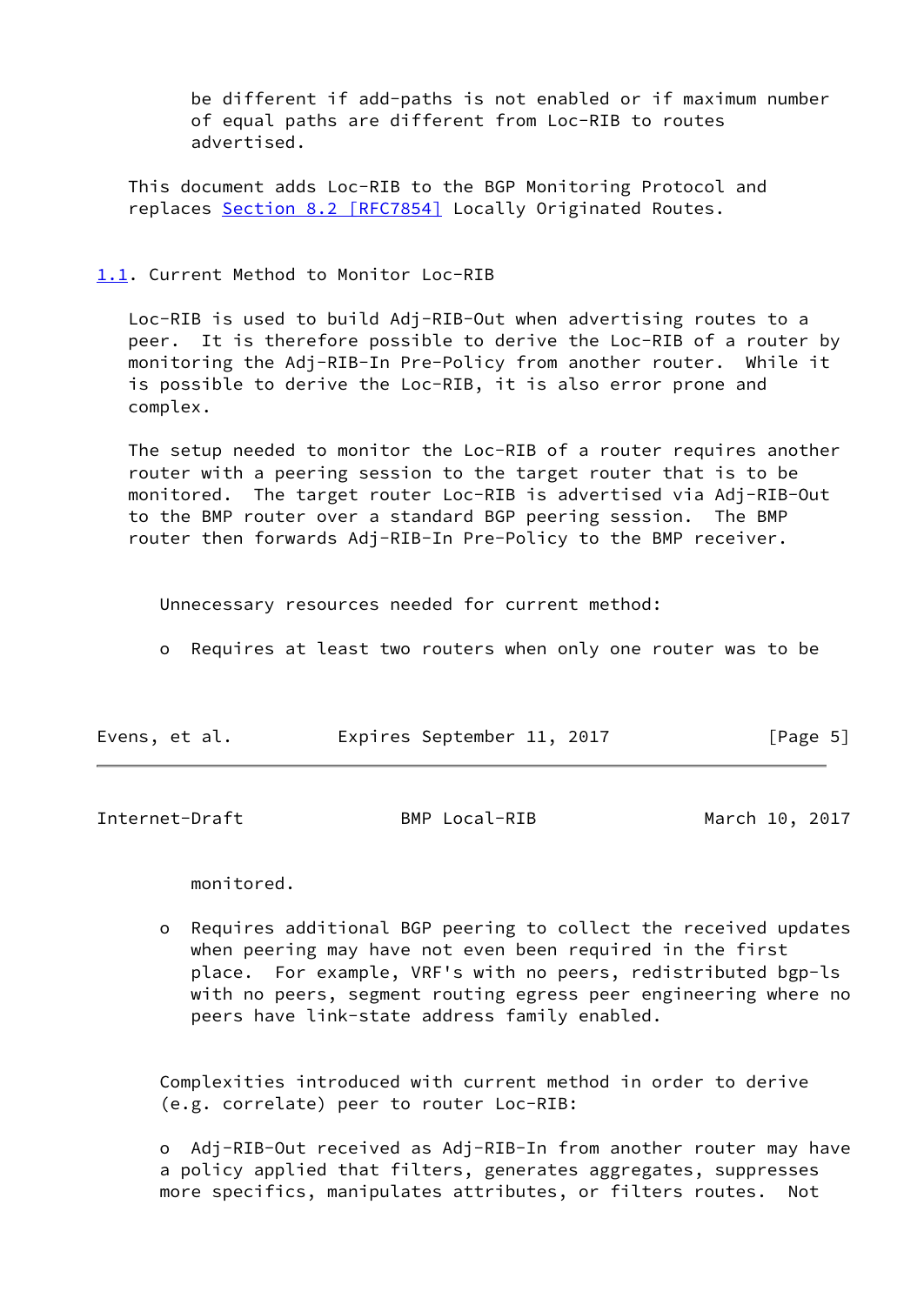be different if add-paths is not enabled or if maximum number of equal paths are different from Loc-RIB to routes advertised.

 This document adds Loc-RIB to the BGP Monitoring Protocol and replaces Section [8.2 \[RFC7854\]](https://datatracker.ietf.org/doc/pdf/rfc7854#section-8.2) Locally Originated Routes.

## <span id="page-5-0"></span>[1.1](#page-5-0). Current Method to Monitor Loc-RIB

 Loc-RIB is used to build Adj-RIB-Out when advertising routes to a peer. It is therefore possible to derive the Loc-RIB of a router by monitoring the Adj-RIB-In Pre-Policy from another router. While it is possible to derive the Loc-RIB, it is also error prone and complex.

 The setup needed to monitor the Loc-RIB of a router requires another router with a peering session to the target router that is to be monitored. The target router Loc-RIB is advertised via Adj-RIB-Out to the BMP router over a standard BGP peering session. The BMP router then forwards Adj-RIB-In Pre-Policy to the BMP receiver.

Unnecessary resources needed for current method:

o Requires at least two routers when only one router was to be

| Evens, et al. | Expires September 11, 2017 | [Page 5] |
|---------------|----------------------------|----------|
|---------------|----------------------------|----------|

<span id="page-5-1"></span>Internet-Draft BMP Local-RIB March 10, 2017

monitored.

 o Requires additional BGP peering to collect the received updates when peering may have not even been required in the first place. For example, VRF's with no peers, redistributed bgp-ls with no peers, segment routing egress peer engineering where no peers have link-state address family enabled.

 Complexities introduced with current method in order to derive (e.g. correlate) peer to router Loc-RIB:

 o Adj-RIB-Out received as Adj-RIB-In from another router may have a policy applied that filters, generates aggregates, suppresses more specifics, manipulates attributes, or filters routes. Not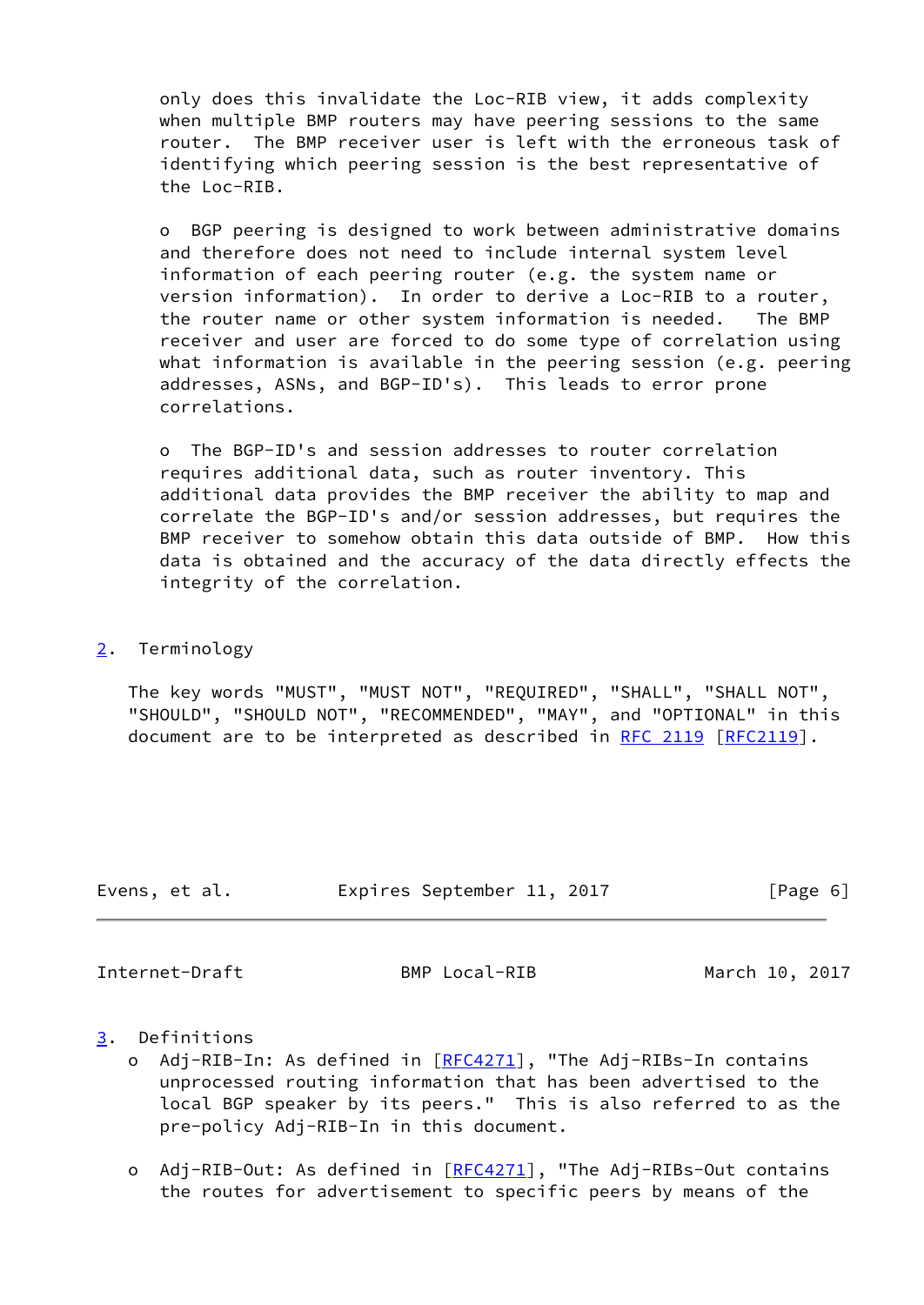only does this invalidate the Loc-RIB view, it adds complexity when multiple BMP routers may have peering sessions to the same router. The BMP receiver user is left with the erroneous task of identifying which peering session is the best representative of the Loc-RIB.

 o BGP peering is designed to work between administrative domains and therefore does not need to include internal system level information of each peering router (e.g. the system name or version information). In order to derive a Loc-RIB to a router, the router name or other system information is needed. The BMP receiver and user are forced to do some type of correlation using what information is available in the peering session (e.g. peering addresses, ASNs, and BGP-ID's). This leads to error prone correlations.

 o The BGP-ID's and session addresses to router correlation requires additional data, such as router inventory. This additional data provides the BMP receiver the ability to map and correlate the BGP-ID's and/or session addresses, but requires the BMP receiver to somehow obtain this data outside of BMP. How this data is obtained and the accuracy of the data directly effects the integrity of the correlation.

## <span id="page-6-0"></span>[2](#page-6-0). Terminology

 The key words "MUST", "MUST NOT", "REQUIRED", "SHALL", "SHALL NOT", "SHOULD", "SHOULD NOT", "RECOMMENDED", "MAY", and "OPTIONAL" in this document are to be interpreted as described in [RFC 2119 \[RFC2119](https://datatracker.ietf.org/doc/pdf/rfc2119)].

| Evens, et al. |  | Expires September 11, 2017 |  |  | [Page 6] |
|---------------|--|----------------------------|--|--|----------|
|---------------|--|----------------------------|--|--|----------|

<span id="page-6-2"></span>Internet-Draft BMP Local-RIB March 10, 2017

- <span id="page-6-1"></span>[3](#page-6-1). Definitions
	- o Adj-RIB-In: As defined in [\[RFC4271](https://datatracker.ietf.org/doc/pdf/rfc4271)], "The Adj-RIBs-In contains unprocessed routing information that has been advertised to the local BGP speaker by its peers." This is also referred to as the pre-policy Adj-RIB-In in this document.
	- o Adj-RIB-Out: As defined in [[RFC4271](https://datatracker.ietf.org/doc/pdf/rfc4271)], "The Adj-RIBs-Out contains the routes for advertisement to specific peers by means of the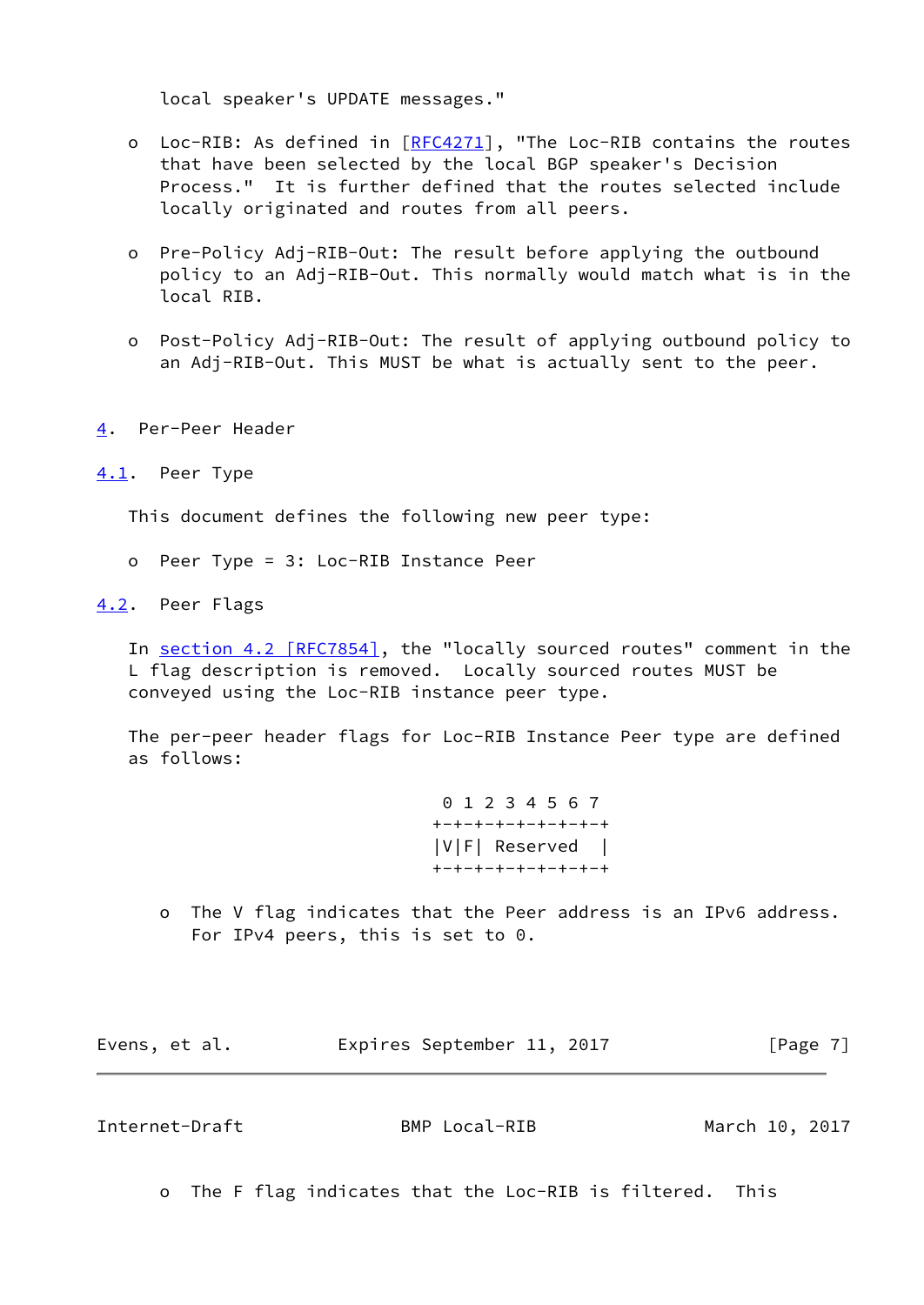local speaker's UPDATE messages."

- o Loc-RIB: As defined in [[RFC4271](https://datatracker.ietf.org/doc/pdf/rfc4271)], "The Loc-RIB contains the routes that have been selected by the local BGP speaker's Decision Process." It is further defined that the routes selected include locally originated and routes from all peers.
- o Pre-Policy Adj-RIB-Out: The result before applying the outbound policy to an Adj-RIB-Out. This normally would match what is in the local RIB.
- o Post-Policy Adj-RIB-Out: The result of applying outbound policy to an Adj-RIB-Out. This MUST be what is actually sent to the peer.
- <span id="page-7-0"></span>[4](#page-7-0). Per-Peer Header

<span id="page-7-1"></span>[4.1](#page-7-1). Peer Type

This document defines the following new peer type:

- o Peer Type = 3: Loc-RIB Instance Peer
- <span id="page-7-2"></span>[4.2](#page-7-2). Peer Flags

 In section [4.2 \[RFC7854\],](https://datatracker.ietf.org/doc/pdf/rfc7854#section-4.2) the "locally sourced routes" comment in the L flag description is removed. Locally sourced routes MUST be conveyed using the Loc-RIB instance peer type.

 The per-peer header flags for Loc-RIB Instance Peer type are defined as follows:

> 0 1 2 3 4 5 6 7 +-+-+-+-+-+-+-+-+ |V|F| Reserved | +-+-+-+-+-+-+-+-+

 o The V flag indicates that the Peer address is an IPv6 address. For IPv4 peers, this is set to 0.

Evens, et al. **Expires September 11, 2017** [Page 7]

<span id="page-7-3"></span>Internet-Draft BMP Local-RIB March 10, 2017

o The F flag indicates that the Loc-RIB is filtered. This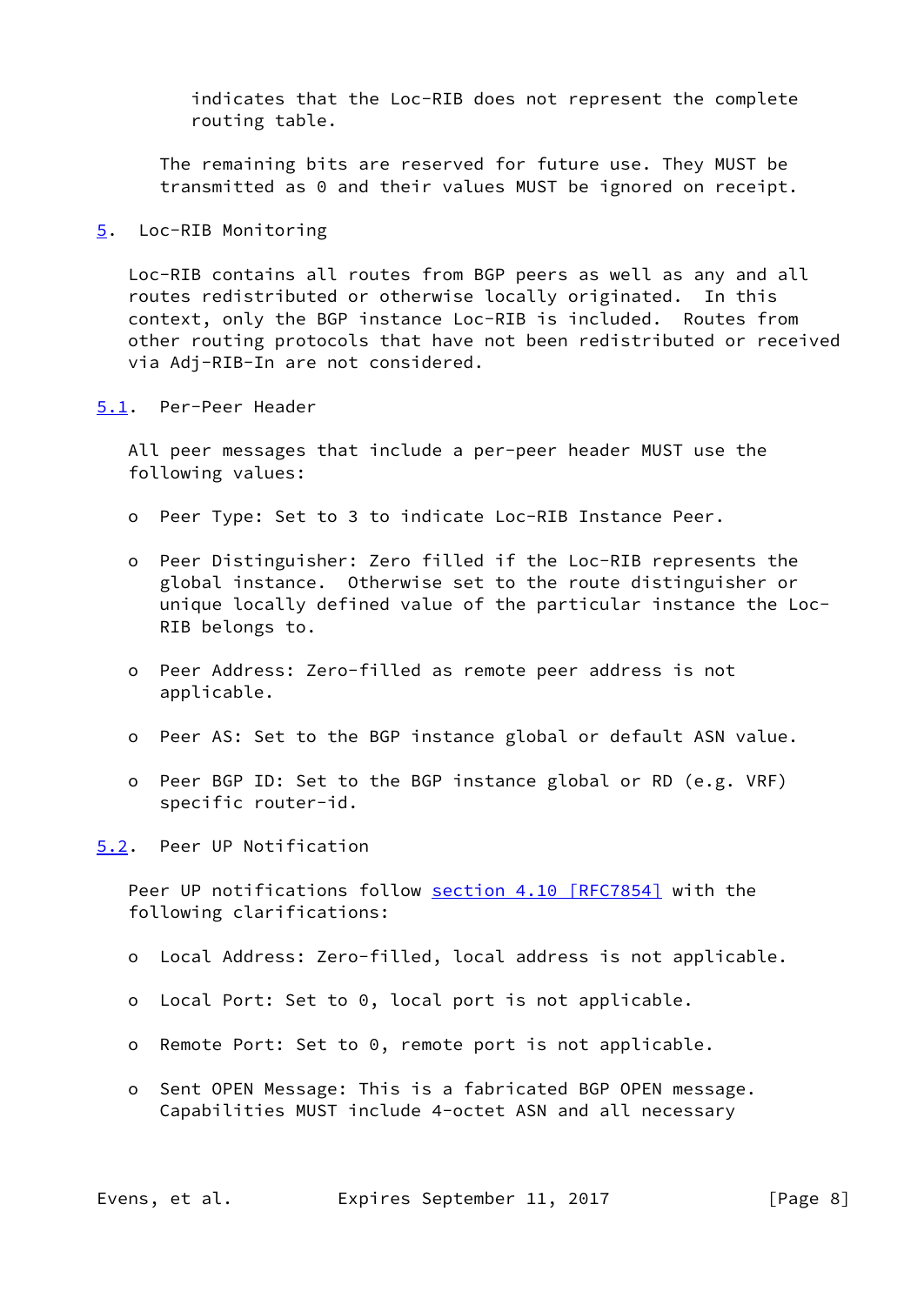indicates that the Loc-RIB does not represent the complete routing table.

 The remaining bits are reserved for future use. They MUST be transmitted as 0 and their values MUST be ignored on receipt.

<span id="page-8-0"></span>[5](#page-8-0). Loc-RIB Monitoring

 Loc-RIB contains all routes from BGP peers as well as any and all routes redistributed or otherwise locally originated. In this context, only the BGP instance Loc-RIB is included. Routes from other routing protocols that have not been redistributed or received via Adj-RIB-In are not considered.

<span id="page-8-1"></span>[5.1](#page-8-1). Per-Peer Header

 All peer messages that include a per-peer header MUST use the following values:

- o Peer Type: Set to 3 to indicate Loc-RIB Instance Peer.
- o Peer Distinguisher: Zero filled if the Loc-RIB represents the global instance. Otherwise set to the route distinguisher or unique locally defined value of the particular instance the Loc- RIB belongs to.
- o Peer Address: Zero-filled as remote peer address is not applicable.
- o Peer AS: Set to the BGP instance global or default ASN value.
- o Peer BGP ID: Set to the BGP instance global or RD (e.g. VRF) specific router-id.

<span id="page-8-2"></span>[5.2](#page-8-2). Peer UP Notification

Peer UP notifications follow section [4.10 \[RFC7854\]](https://datatracker.ietf.org/doc/pdf/rfc7854#section-4.10) with the following clarifications:

- o Local Address: Zero-filled, local address is not applicable.
- o Local Port: Set to 0, local port is not applicable.
- o Remote Port: Set to 0, remote port is not applicable.
- o Sent OPEN Message: This is a fabricated BGP OPEN message. Capabilities MUST include 4-octet ASN and all necessary

Evens, et al. Expires September 11, 2017 [Page 8]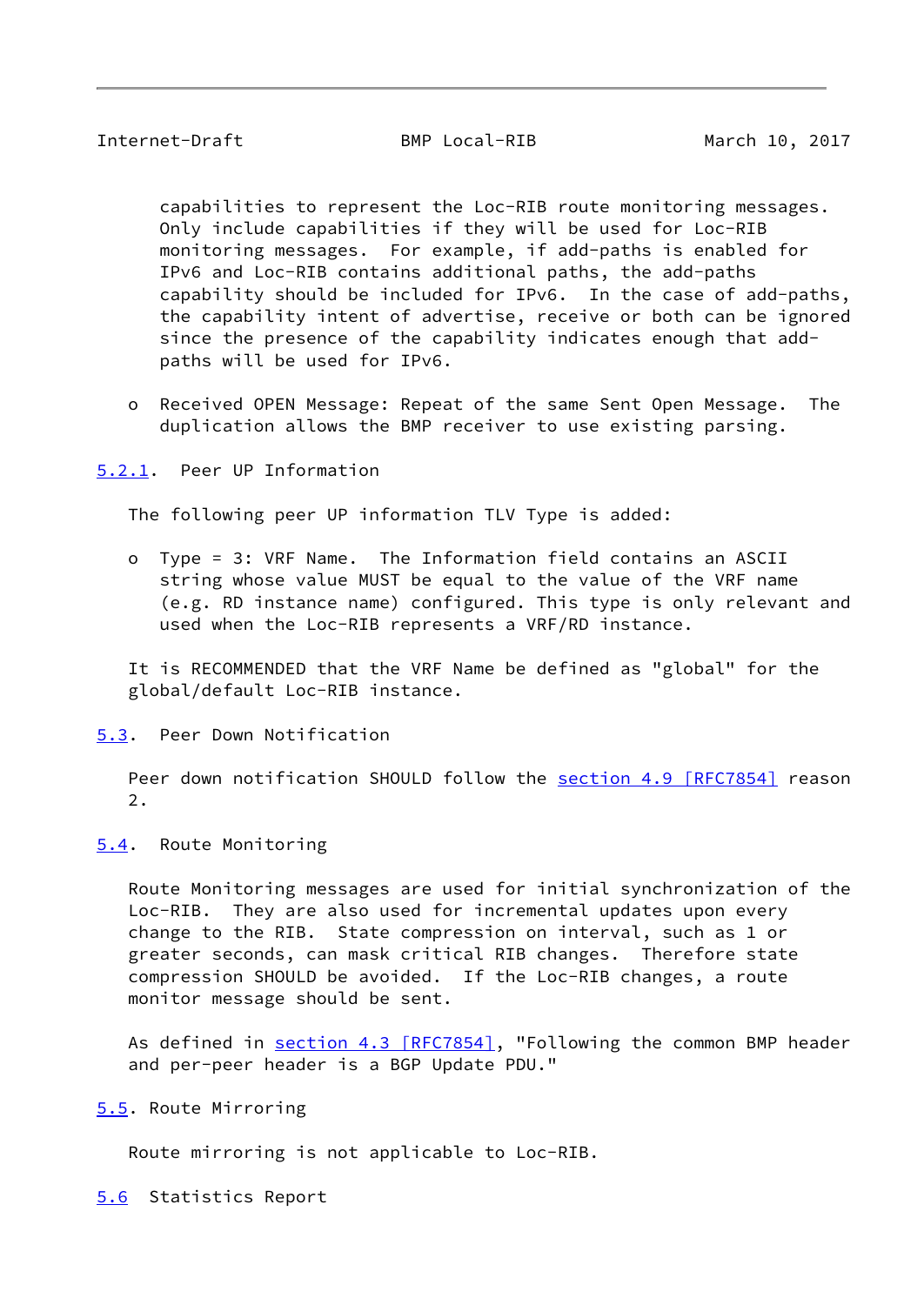<span id="page-9-1"></span> capabilities to represent the Loc-RIB route monitoring messages. Only include capabilities if they will be used for Loc-RIB monitoring messages. For example, if add-paths is enabled for IPv6 and Loc-RIB contains additional paths, the add-paths capability should be included for IPv6. In the case of add-paths, the capability intent of advertise, receive or both can be ignored since the presence of the capability indicates enough that add paths will be used for IPv6.

 o Received OPEN Message: Repeat of the same Sent Open Message. The duplication allows the BMP receiver to use existing parsing.

<span id="page-9-0"></span>[5.2.1](#page-9-0). Peer UP Information

The following peer UP information TLV Type is added:

 o Type = 3: VRF Name. The Information field contains an ASCII string whose value MUST be equal to the value of the VRF name (e.g. RD instance name) configured. This type is only relevant and used when the Loc-RIB represents a VRF/RD instance.

 It is RECOMMENDED that the VRF Name be defined as "global" for the global/default Loc-RIB instance.

<span id="page-9-2"></span>[5.3](#page-9-2). Peer Down Notification

Peer down notification SHOULD follow the section [4.9 \[RFC7854\]](https://datatracker.ietf.org/doc/pdf/rfc7854#section-4.9) reason 2.

<span id="page-9-3"></span>[5.4](#page-9-3). Route Monitoring

 Route Monitoring messages are used for initial synchronization of the Loc-RIB. They are also used for incremental updates upon every change to the RIB. State compression on interval, such as 1 or greater seconds, can mask critical RIB changes. Therefore state compression SHOULD be avoided. If the Loc-RIB changes, a route monitor message should be sent.

As defined in section [4.3 \[RFC7854\],](https://datatracker.ietf.org/doc/pdf/rfc7854#section-4.3) "Following the common BMP header and per-peer header is a BGP Update PDU."

<span id="page-9-4"></span>[5.5](#page-9-4). Route Mirroring

Route mirroring is not applicable to Loc-RIB.

<span id="page-9-5"></span>[5.6](#page-9-5) Statistics Report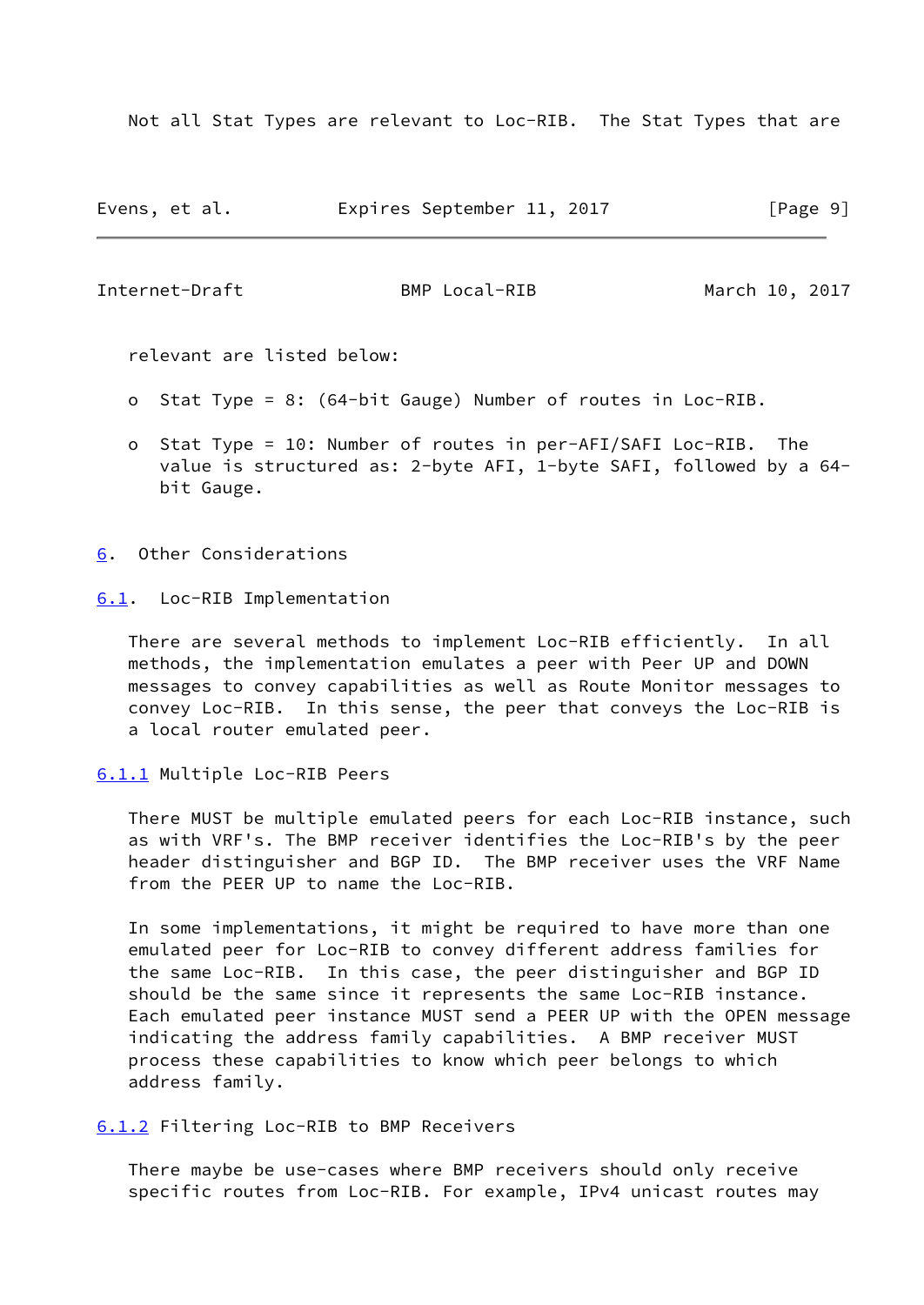Not all Stat Types are relevant to Loc-RIB. The Stat Types that are

| Evens, et al. |  | Expires September 11, 2017 |  |  | [Page 9] |  |  |
|---------------|--|----------------------------|--|--|----------|--|--|
|---------------|--|----------------------------|--|--|----------|--|--|

<span id="page-10-1"></span>Internet-Draft BMP Local-RIB March 10, 2017

relevant are listed below:

- o Stat Type = 8: (64-bit Gauge) Number of routes in Loc-RIB.
- o Stat Type = 10: Number of routes in per-AFI/SAFI Loc-RIB. The value is structured as: 2-byte AFI, 1-byte SAFI, followed by a 64 bit Gauge.

<span id="page-10-0"></span>[6](#page-10-0). Other Considerations

<span id="page-10-2"></span>[6.1](#page-10-2). Loc-RIB Implementation

 There are several methods to implement Loc-RIB efficiently. In all methods, the implementation emulates a peer with Peer UP and DOWN messages to convey capabilities as well as Route Monitor messages to convey Loc-RIB. In this sense, the peer that conveys the Loc-RIB is a local router emulated peer.

<span id="page-10-3"></span>[6.1.1](#page-10-3) Multiple Loc-RIB Peers

 There MUST be multiple emulated peers for each Loc-RIB instance, such as with VRF's. The BMP receiver identifies the Loc-RIB's by the peer header distinguisher and BGP ID. The BMP receiver uses the VRF Name from the PEER UP to name the Loc-RIB.

 In some implementations, it might be required to have more than one emulated peer for Loc-RIB to convey different address families for the same Loc-RIB. In this case, the peer distinguisher and BGP ID should be the same since it represents the same Loc-RIB instance. Each emulated peer instance MUST send a PEER UP with the OPEN message indicating the address family capabilities. A BMP receiver MUST process these capabilities to know which peer belongs to which address family.

<span id="page-10-4"></span>[6.1.2](#page-10-4) Filtering Loc-RIB to BMP Receivers

 There maybe be use-cases where BMP receivers should only receive specific routes from Loc-RIB. For example, IPv4 unicast routes may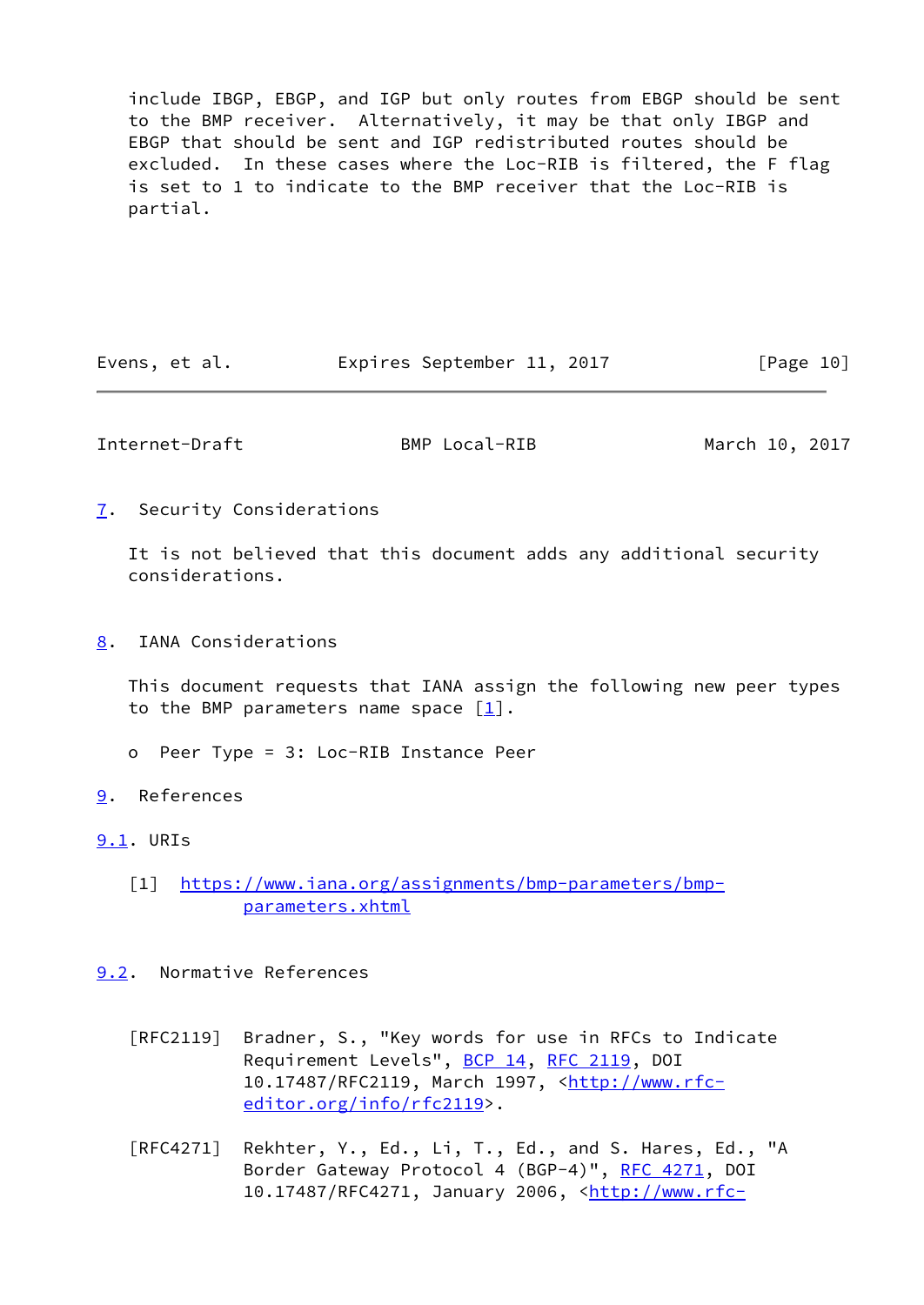include IBGP, EBGP, and IGP but only routes from EBGP should be sent to the BMP receiver. Alternatively, it may be that only IBGP and EBGP that should be sent and IGP redistributed routes should be excluded. In these cases where the Loc-RIB is filtered, the F flag is set to 1 to indicate to the BMP receiver that the Loc-RIB is partial.

| Evens, et al. |  | Expires September 11, 2017 |  |  | [Page 10] |  |
|---------------|--|----------------------------|--|--|-----------|--|
|---------------|--|----------------------------|--|--|-----------|--|

<span id="page-11-1"></span>Internet-Draft BMP Local-RIB March 10, 2017

<span id="page-11-0"></span>[7](#page-11-0). Security Considerations

 It is not believed that this document adds any additional security considerations.

<span id="page-11-2"></span>[8](#page-11-2). IANA Considerations

 This document requests that IANA assign the following new peer types to the BMP parameters name space  $[1]$ .

- o Peer Type = 3: Loc-RIB Instance Peer
- <span id="page-11-3"></span>[9](#page-11-3). References

<span id="page-11-4"></span>[9.1](#page-11-4). URIs

<span id="page-11-6"></span> [1] [https://www.iana.org/assignments/bmp-parameters/bmp](https://www.iana.org/assignments/bmp-parameters/bmp-parameters.xhtml) [parameters.xhtml](https://www.iana.org/assignments/bmp-parameters/bmp-parameters.xhtml)

<span id="page-11-5"></span>[9.2](#page-11-5). Normative References

- [RFC2119] Bradner, S., "Key words for use in RFCs to Indicate Requirement Levels", [BCP 14](https://datatracker.ietf.org/doc/pdf/bcp14), [RFC 2119](https://datatracker.ietf.org/doc/pdf/rfc2119), DOI 10.17487/RFC2119, March 1997, [<http://www.rfc](http://www.rfc-editor.org/info/rfc2119) [editor.org/info/rfc2119](http://www.rfc-editor.org/info/rfc2119)>.
- [RFC4271] Rekhter, Y., Ed., Li, T., Ed., and S. Hares, Ed., "A Border Gateway Protocol 4 (BGP-4)", [RFC 4271,](https://datatracker.ietf.org/doc/pdf/rfc4271) DOI 10.17487/RFC4271, January 2006, <[http://www.rfc-](http://www.rfc-editor.org/info/rfc4271)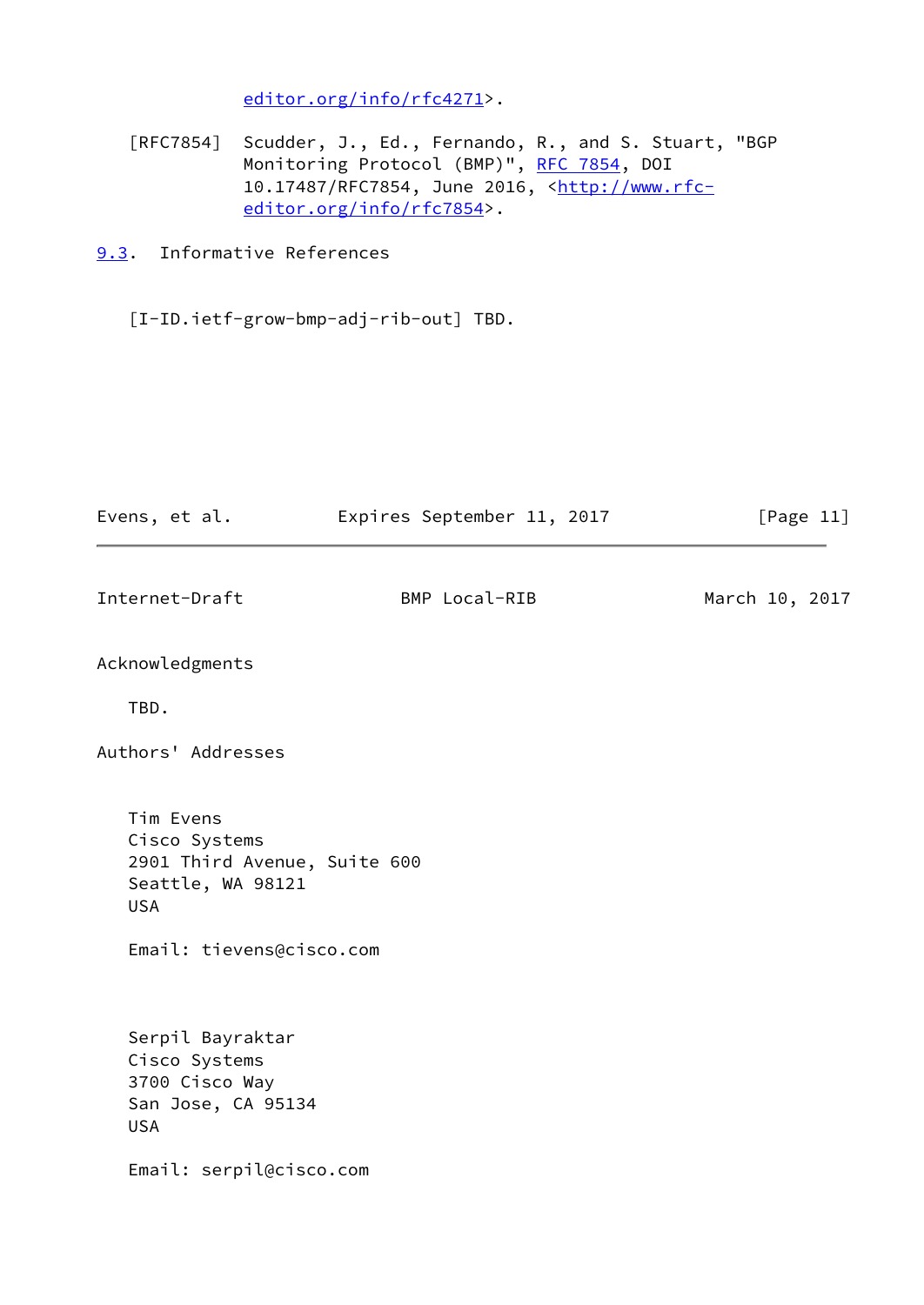[editor.org/info/rfc4271](http://www.rfc-editor.org/info/rfc4271)>.

 [RFC7854] Scudder, J., Ed., Fernando, R., and S. Stuart, "BGP Monitoring Protocol (BMP)", [RFC 7854,](https://datatracker.ietf.org/doc/pdf/rfc7854) DOI 10.17487/RFC7854, June 2016, [<http://www.rfc](http://www.rfc-editor.org/info/rfc7854) [editor.org/info/rfc7854](http://www.rfc-editor.org/info/rfc7854)>.

<span id="page-12-0"></span>[9.3](#page-12-0). Informative References

[I-ID.ietf-grow-bmp-adj-rib-out] TBD.

<span id="page-12-1"></span>

| Evens, et al.                                                                                                             | Expires September 11, 2017 | [Page $11$ ]   |
|---------------------------------------------------------------------------------------------------------------------------|----------------------------|----------------|
| Internet-Draft                                                                                                            | BMP Local-RIB              | March 10, 2017 |
| Acknowledgments                                                                                                           |                            |                |
| TBD.                                                                                                                      |                            |                |
| Authors' Addresses                                                                                                        |                            |                |
| Tim Evens<br>Cisco Systems<br>2901 Third Avenue, Suite 600<br>Seattle, WA 98121<br><b>USA</b><br>Email: tievens@cisco.com |                            |                |
| Serpil Bayraktar<br>Cisco Systems<br>3700 Cisco Way<br>San Jose, CA 95134<br><b>USA</b>                                   |                            |                |
| Email: serpil@cisco.com                                                                                                   |                            |                |